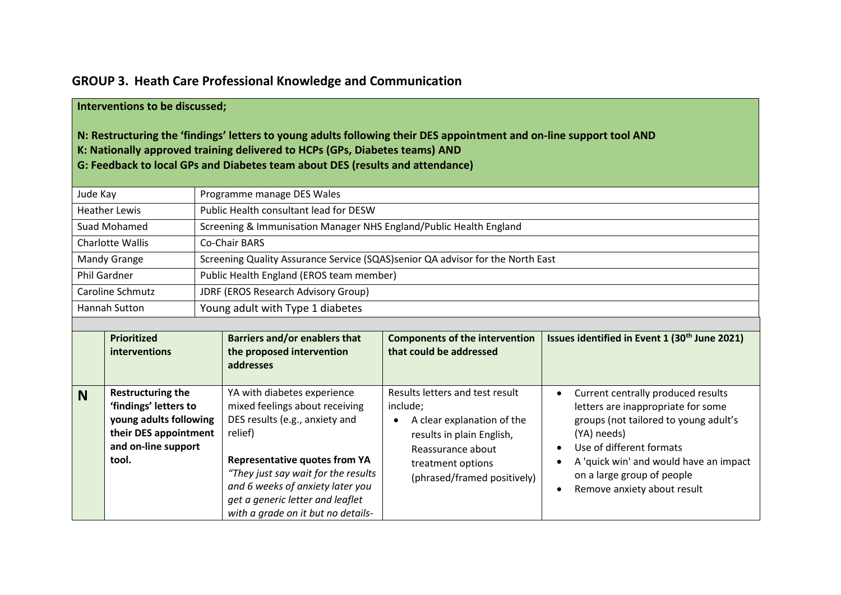## **GROUP 3. Heath Care Professional Knowledge and Communication**

## **Interventions to be discussed;**

## **N: Restructuring the 'findings' letters to young adults following their DES appointment and on‐line support tool AND K: Nationally approved training delivered to HCPs (GPs, Diabetes teams) AND G: Feedback to local GPs and Diabetes team about DES (results and attendance)**

| Jude Kay             |                                                                                                                                      | Programme manage DES Wales                                                                                                                                                                                                                                        |                                                                                                                                                                                      |                                                                                                                                                                                                                                                                                  |  |  |  |  |
|----------------------|--------------------------------------------------------------------------------------------------------------------------------------|-------------------------------------------------------------------------------------------------------------------------------------------------------------------------------------------------------------------------------------------------------------------|--------------------------------------------------------------------------------------------------------------------------------------------------------------------------------------|----------------------------------------------------------------------------------------------------------------------------------------------------------------------------------------------------------------------------------------------------------------------------------|--|--|--|--|
| <b>Heather Lewis</b> |                                                                                                                                      | Public Health consultant lead for DESW                                                                                                                                                                                                                            |                                                                                                                                                                                      |                                                                                                                                                                                                                                                                                  |  |  |  |  |
|                      | Suad Mohamed                                                                                                                         |                                                                                                                                                                                                                                                                   | Screening & Immunisation Manager NHS England/Public Health England                                                                                                                   |                                                                                                                                                                                                                                                                                  |  |  |  |  |
| Charlotte Wallis     |                                                                                                                                      | <b>Co-Chair BARS</b>                                                                                                                                                                                                                                              |                                                                                                                                                                                      |                                                                                                                                                                                                                                                                                  |  |  |  |  |
| <b>Mandy Grange</b>  |                                                                                                                                      | Screening Quality Assurance Service (SQAS)senior QA advisor for the North East                                                                                                                                                                                    |                                                                                                                                                                                      |                                                                                                                                                                                                                                                                                  |  |  |  |  |
| <b>Phil Gardner</b>  |                                                                                                                                      | Public Health England (EROS team member)                                                                                                                                                                                                                          |                                                                                                                                                                                      |                                                                                                                                                                                                                                                                                  |  |  |  |  |
| Caroline Schmutz     |                                                                                                                                      | JDRF (EROS Research Advisory Group)                                                                                                                                                                                                                               |                                                                                                                                                                                      |                                                                                                                                                                                                                                                                                  |  |  |  |  |
| <b>Hannah Sutton</b> |                                                                                                                                      | Young adult with Type 1 diabetes                                                                                                                                                                                                                                  |                                                                                                                                                                                      |                                                                                                                                                                                                                                                                                  |  |  |  |  |
|                      |                                                                                                                                      |                                                                                                                                                                                                                                                                   |                                                                                                                                                                                      |                                                                                                                                                                                                                                                                                  |  |  |  |  |
|                      | Prioritized<br>interventions                                                                                                         | <b>Barriers and/or enablers that</b><br>the proposed intervention<br>addresses                                                                                                                                                                                    | <b>Components of the intervention</b><br>that could be addressed                                                                                                                     | Issues identified in Event 1 (30 <sup>th</sup> June 2021)                                                                                                                                                                                                                        |  |  |  |  |
| <b>N</b>             | <b>Restructuring the</b><br>'findings' letters to<br>young adults following<br>their DES appointment<br>and on-line support<br>tool. | YA with diabetes experience<br>mixed feelings about receiving<br>DES results (e.g., anxiety and<br>relief)<br><b>Representative quotes from YA</b><br>"They just say wait for the results<br>and 6 weeks of anxiety later you<br>get a generic letter and leaflet | Results letters and test result<br>include;<br>A clear explanation of the<br>٠<br>results in plain English,<br>Reassurance about<br>treatment options<br>(phrased/framed positively) | Current centrally produced results<br>$\bullet$<br>letters are inappropriate for some<br>groups (not tailored to young adult's<br>(YA) needs)<br>Use of different formats<br>A 'quick win' and would have an impact<br>on a large group of people<br>Remove anxiety about result |  |  |  |  |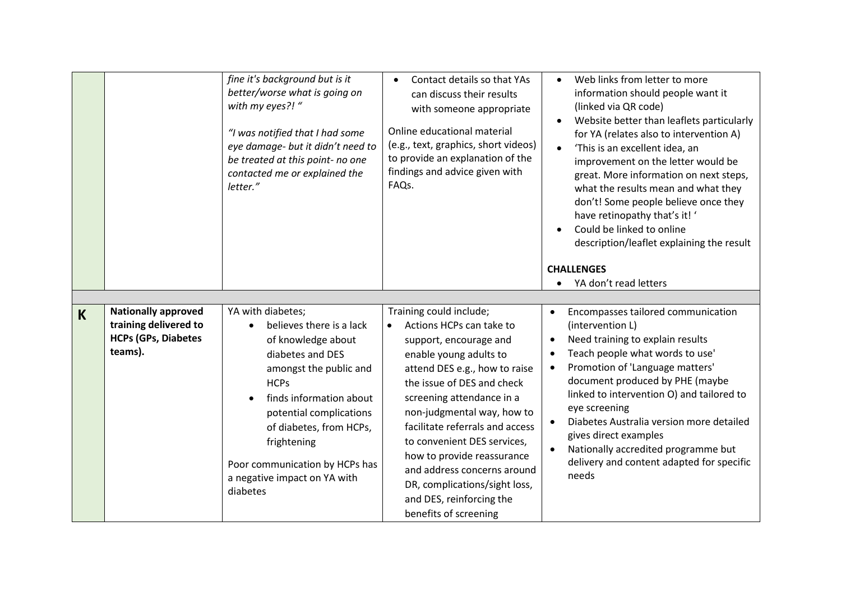|   |                                                                                              | fine it's background but is it<br>better/worse what is going on<br>with my eyes?! "<br>"I was notified that I had some<br>eye damage- but it didn't need to<br>be treated at this point- no one<br>contacted me or explained the<br>letter."                                                                   | Contact details so that YAs<br>$\bullet$<br>can discuss their results<br>with someone appropriate<br>Online educational material<br>(e.g., text, graphics, short videos)<br>to provide an explanation of the<br>findings and advice given with<br>FAQs.                                                                                                                                                                                                             | Web links from letter to more<br>information should people want it<br>(linked via QR code)<br>Website better than leaflets particularly<br>$\bullet$<br>for YA (relates also to intervention A)<br>'This is an excellent idea, an<br>improvement on the letter would be<br>great. More information on next steps,<br>what the results mean and what they<br>don't! Some people believe once they<br>have retinopathy that's it! '<br>Could be linked to online<br>description/leaflet explaining the result<br><b>CHALLENGES</b><br>YA don't read letters |
|---|----------------------------------------------------------------------------------------------|----------------------------------------------------------------------------------------------------------------------------------------------------------------------------------------------------------------------------------------------------------------------------------------------------------------|---------------------------------------------------------------------------------------------------------------------------------------------------------------------------------------------------------------------------------------------------------------------------------------------------------------------------------------------------------------------------------------------------------------------------------------------------------------------|-----------------------------------------------------------------------------------------------------------------------------------------------------------------------------------------------------------------------------------------------------------------------------------------------------------------------------------------------------------------------------------------------------------------------------------------------------------------------------------------------------------------------------------------------------------|
| K | <b>Nationally approved</b><br>training delivered to<br><b>HCPs (GPs, Diabetes</b><br>teams). | YA with diabetes;<br>believes there is a lack<br>of knowledge about<br>diabetes and DES<br>amongst the public and<br><b>HCPs</b><br>finds information about<br>potential complications<br>of diabetes, from HCPs,<br>frightening<br>Poor communication by HCPs has<br>a negative impact on YA with<br>diabetes | Training could include;<br>Actions HCPs can take to<br>$\bullet$<br>support, encourage and<br>enable young adults to<br>attend DES e.g., how to raise<br>the issue of DES and check<br>screening attendance in a<br>non-judgmental way, how to<br>facilitate referrals and access<br>to convenient DES services,<br>how to provide reassurance<br>and address concerns around<br>DR, complications/sight loss,<br>and DES, reinforcing the<br>benefits of screening | Encompasses tailored communication<br>(intervention L)<br>Need training to explain results<br>$\bullet$<br>Teach people what words to use'<br>Promotion of 'Language matters'<br>$\bullet$<br>document produced by PHE (maybe<br>linked to intervention O) and tailored to<br>eye screening<br>Diabetes Australia version more detailed<br>$\bullet$<br>gives direct examples<br>Nationally accredited programme but<br>$\bullet$<br>delivery and content adapted for specific<br>needs                                                                   |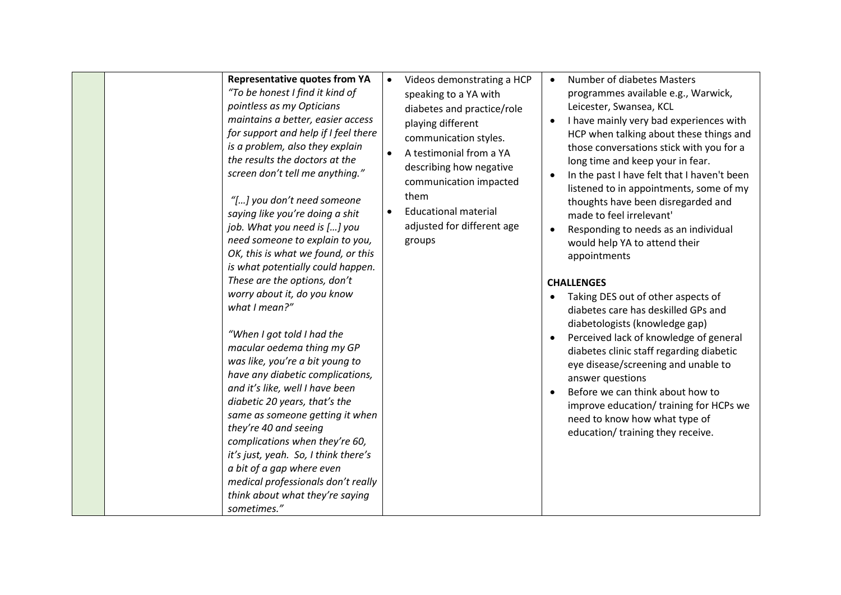|  | <b>Representative quotes from YA</b><br>"To be honest I find it kind of<br>pointless as my Opticians<br>maintains a better, easier access<br>for support and help if I feel there<br>is a problem, also they explain<br>the results the doctors at the<br>screen don't tell me anything."<br>"[] you don't need someone<br>saying like you're doing a shit<br>job. What you need is [] you<br>need someone to explain to you,<br>OK, this is what we found, or this<br>is what potentially could happen.<br>These are the options, don't<br>worry about it, do you know<br>what I mean?"<br>"When I got told I had the<br>macular oedema thing my GP<br>was like, you're a bit young to<br>have any diabetic complications,<br>and it's like, well I have been<br>diabetic 20 years, that's the<br>same as someone getting it when<br>they're 40 and seeing<br>complications when they're 60,<br>it's just, yeah. So, I think there's<br>a bit of a gap where even<br>medical professionals don't really<br>think about what they're saying<br>sometimes." | $\bullet$<br>$\bullet$<br>$\bullet$ | Videos demonstrating a HCP<br>speaking to a YA with<br>diabetes and practice/role<br>playing different<br>communication styles.<br>A testimonial from a YA<br>describing how negative<br>communication impacted<br>them<br><b>Educational material</b><br>adjusted for different age<br>groups | $\bullet$<br>$\bullet$<br>$\bullet$<br>$\bullet$<br>$\bullet$<br>$\bullet$ | <b>Number of diabetes Masters</b><br>programmes available e.g., Warwick,<br>Leicester, Swansea, KCL<br>I have mainly very bad experiences with<br>HCP when talking about these things and<br>those conversations stick with you for a<br>long time and keep your in fear.<br>In the past I have felt that I haven't been<br>listened to in appointments, some of my<br>thoughts have been disregarded and<br>made to feel irrelevant'<br>Responding to needs as an individual<br>would help YA to attend their<br>appointments<br><b>CHALLENGES</b><br>Taking DES out of other aspects of<br>diabetes care has deskilled GPs and<br>diabetologists (knowledge gap)<br>Perceived lack of knowledge of general<br>diabetes clinic staff regarding diabetic<br>eye disease/screening and unable to<br>answer questions<br>Before we can think about how to<br>improve education/ training for HCPs we<br>need to know how what type of<br>education/ training they receive. |
|--|------------------------------------------------------------------------------------------------------------------------------------------------------------------------------------------------------------------------------------------------------------------------------------------------------------------------------------------------------------------------------------------------------------------------------------------------------------------------------------------------------------------------------------------------------------------------------------------------------------------------------------------------------------------------------------------------------------------------------------------------------------------------------------------------------------------------------------------------------------------------------------------------------------------------------------------------------------------------------------------------------------------------------------------------------------|-------------------------------------|------------------------------------------------------------------------------------------------------------------------------------------------------------------------------------------------------------------------------------------------------------------------------------------------|----------------------------------------------------------------------------|--------------------------------------------------------------------------------------------------------------------------------------------------------------------------------------------------------------------------------------------------------------------------------------------------------------------------------------------------------------------------------------------------------------------------------------------------------------------------------------------------------------------------------------------------------------------------------------------------------------------------------------------------------------------------------------------------------------------------------------------------------------------------------------------------------------------------------------------------------------------------------------------------------------------------------------------------------------------------|
|--|------------------------------------------------------------------------------------------------------------------------------------------------------------------------------------------------------------------------------------------------------------------------------------------------------------------------------------------------------------------------------------------------------------------------------------------------------------------------------------------------------------------------------------------------------------------------------------------------------------------------------------------------------------------------------------------------------------------------------------------------------------------------------------------------------------------------------------------------------------------------------------------------------------------------------------------------------------------------------------------------------------------------------------------------------------|-------------------------------------|------------------------------------------------------------------------------------------------------------------------------------------------------------------------------------------------------------------------------------------------------------------------------------------------|----------------------------------------------------------------------------|--------------------------------------------------------------------------------------------------------------------------------------------------------------------------------------------------------------------------------------------------------------------------------------------------------------------------------------------------------------------------------------------------------------------------------------------------------------------------------------------------------------------------------------------------------------------------------------------------------------------------------------------------------------------------------------------------------------------------------------------------------------------------------------------------------------------------------------------------------------------------------------------------------------------------------------------------------------------------|